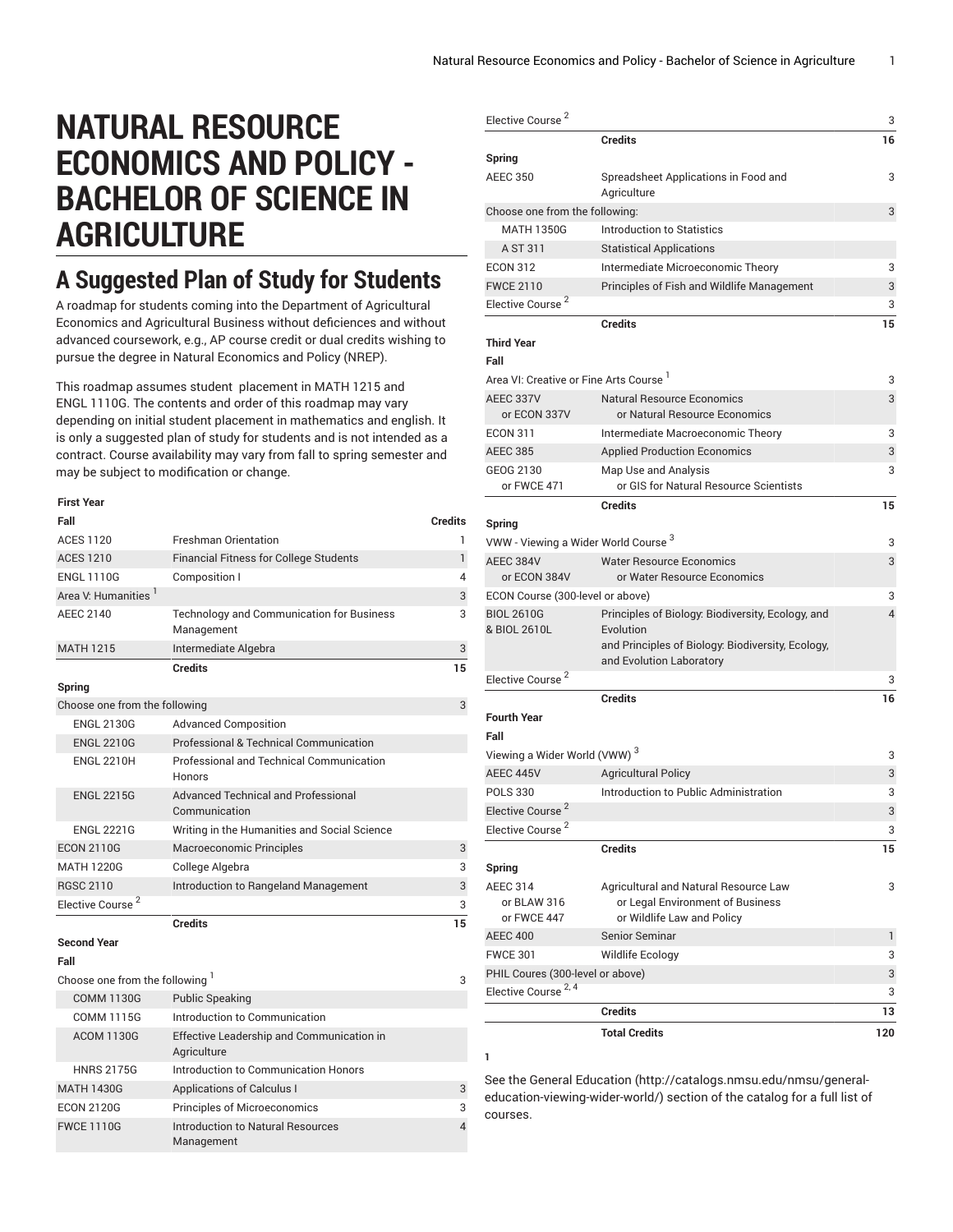$\sim$ 

2

## **NATURAL RESOURCE ECONOMICS AND POLICY - BACHELOR OF SCIENCE IN AGRICULTURE**

## **A Suggested Plan of Study for Students**

A roadmap for students coming into the Department of Agricultural Economics and Agricultural Business without deficiences and without advanced coursework, e.g., AP course credit or dual credits wishing to pursue the degree in Natural Economics and Policy (NREP).

This roadmap assumes student placement in MATH 1215 and ENGL 1110G. The contents and order of this roadmap may vary depending on initial student placement in mathematics and english. It is only a suggested plan of study for students and is not intended as a contract. Course availability may vary from fall to spring semester and may be subject to modification or change.

| <b>First Year</b>               |                                                                |                |
|---------------------------------|----------------------------------------------------------------|----------------|
| Fall                            |                                                                | <b>Credits</b> |
| <b>ACES 1120</b>                | <b>Freshman Orientation</b>                                    | 1              |
| <b>ACES 1210</b>                | <b>Financial Fitness for College Students</b>                  | $\mathbf{1}$   |
| <b>ENGL 1110G</b>               | Composition I                                                  | 4              |
| Area V: Humanities <sup>1</sup> |                                                                | 3              |
| <b>AEEC 2140</b>                | <b>Technology and Communication for Business</b><br>Management | 3              |
| <b>MATH 1215</b>                | Intermediate Algebra                                           | 3              |
|                                 | <b>Credits</b>                                                 | 15             |
| Spring                          |                                                                |                |
| Choose one from the following   |                                                                | 3              |
| <b>ENGL 2130G</b>               | <b>Advanced Composition</b>                                    |                |
| <b>ENGL 2210G</b>               | Professional & Technical Communication                         |                |
| <b>ENGL 2210H</b>               | Professional and Technical Communication<br><b>Honors</b>      |                |
| <b>ENGL 2215G</b>               | Advanced Technical and Professional<br>Communication           |                |
| <b>ENGL 2221G</b>               | Writing in the Humanities and Social Science                   |                |
| <b>ECON 2110G</b>               | <b>Macroeconomic Principles</b>                                | 3              |
| <b>MATH 1220G</b>               | College Algebra                                                | 3              |
| <b>RGSC 2110</b>                | Introduction to Rangeland Management                           | 3              |
| Elective Course <sup>2</sup>    |                                                                | 3              |
|                                 | <b>Credits</b>                                                 | 15             |
| <b>Second Year</b>              |                                                                |                |
| Fall                            |                                                                |                |
| Choose one from the following 1 |                                                                | 3              |
| <b>COMM 1130G</b>               | <b>Public Speaking</b>                                         |                |
| <b>COMM 1115G</b>               | Introduction to Communication                                  |                |
| <b>ACOM 1130G</b>               | Effective Leadership and Communication in<br>Agriculture       |                |
| <b>HNRS 2175G</b>               | Introduction to Communication Honors                           |                |
| <b>MATH 1430G</b>               | <b>Applications of Calculus I</b>                              | 3              |
| <b>ECON 2120G</b>               | <b>Principles of Microeconomics</b>                            | 3              |
| <b>FWCE 1110G</b>               | <b>Introduction to Natural Resources</b><br>Management         | $\overline{4}$ |

| Elective Course <sup>2</sup>                       |                                                                               | 3              |
|----------------------------------------------------|-------------------------------------------------------------------------------|----------------|
|                                                    | <b>Credits</b>                                                                | 16             |
| Spring                                             |                                                                               |                |
| <b>AEEC 350</b>                                    | Spreadsheet Applications in Food and<br>Agriculture                           | 3              |
| Choose one from the following:                     |                                                                               | 3              |
| <b>MATH 1350G</b>                                  | Introduction to Statistics                                                    |                |
| A ST 311                                           | <b>Statistical Applications</b>                                               |                |
| <b>ECON 312</b>                                    | Intermediate Microeconomic Theory                                             | 3              |
| <b>FWCE 2110</b>                                   | Principles of Fish and Wildlife Management                                    | 3              |
| Elective Course <sup>2</sup>                       |                                                                               | 3              |
|                                                    | <b>Credits</b>                                                                | 15             |
| <b>Third Year</b>                                  |                                                                               |                |
| Fall                                               |                                                                               |                |
| Area VI: Creative or Fine Arts Course <sup>1</sup> |                                                                               | 3              |
| AEEC 337V<br>or ECON 337V                          | <b>Natural Resource Economics</b><br>or Natural Resource Economics            | 3              |
| <b>ECON 311</b>                                    | Intermediate Macroeconomic Theory                                             | 3              |
| <b>AEEC 385</b>                                    | <b>Applied Production Economics</b>                                           | 3              |
| GEOG 2130                                          | Map Use and Analysis                                                          | 3              |
| or FWCE 471                                        | or GIS for Natural Resource Scientists                                        |                |
|                                                    | <b>Credits</b>                                                                | 15             |
| Spring                                             |                                                                               |                |
| VWW - Viewing a Wider World Course 3               |                                                                               | 3              |
| AEEC 384V<br>or ECON 384V                          | <b>Water Resource Economics</b><br>or Water Resource Economics                | 3              |
| ECON Course (300-level or above)                   |                                                                               | 3              |
| <b>BIOL 2610G</b>                                  | Principles of Biology: Biodiversity, Ecology, and                             | $\overline{4}$ |
| & BIOL 2610L                                       | Evolution                                                                     |                |
|                                                    | and Principles of Biology: Biodiversity, Ecology,<br>and Evolution Laboratory |                |
| Elective Course <sup>2</sup>                       |                                                                               | 3              |
|                                                    | <b>Credits</b>                                                                | 16             |
| <b>Fourth Year</b><br>Fall                         |                                                                               |                |
| Viewing a Wider World (VWW) <sup>3</sup>           |                                                                               |                |
|                                                    |                                                                               | 3              |
| AEEC 445V<br><b>POLS 330</b>                       | <b>Agricultural Policy</b><br>Introduction to Public Administration           | 3              |
| Elective Course <sup>2</sup>                       |                                                                               | 3              |
| Elective Course <sup>2</sup>                       |                                                                               | 3              |
|                                                    |                                                                               | 3              |
|                                                    | <b>Credits</b>                                                                | 15             |
| Spring                                             |                                                                               |                |
| <b>AEEC 314</b><br>or BLAW 316                     | Agricultural and Natural Resource Law<br>or Legal Environment of Business     | 3              |
| or FWCE 447                                        | or Wildlife Law and Policy                                                    |                |
| <b>AEEC 400</b>                                    | <b>Senior Seminar</b>                                                         | 1              |
| <b>FWCE 301</b>                                    | Wildlife Ecology                                                              | 3              |
| PHIL Coures (300-level or above)                   |                                                                               | 3              |
| Elective Course <sup>2, 4</sup>                    |                                                                               | 3              |
|                                                    | <b>Credits</b>                                                                | 13             |
|                                                    |                                                                               |                |

See the General [Education](http://catalogs.nmsu.edu/nmsu/general-education-viewing-wider-world/) ([http://catalogs.nmsu.edu/nmsu/general](http://catalogs.nmsu.edu/nmsu/general-education-viewing-wider-world/)[education-viewing-wider-world/\)](http://catalogs.nmsu.edu/nmsu/general-education-viewing-wider-world/) section of the catalog for a full list of courses.